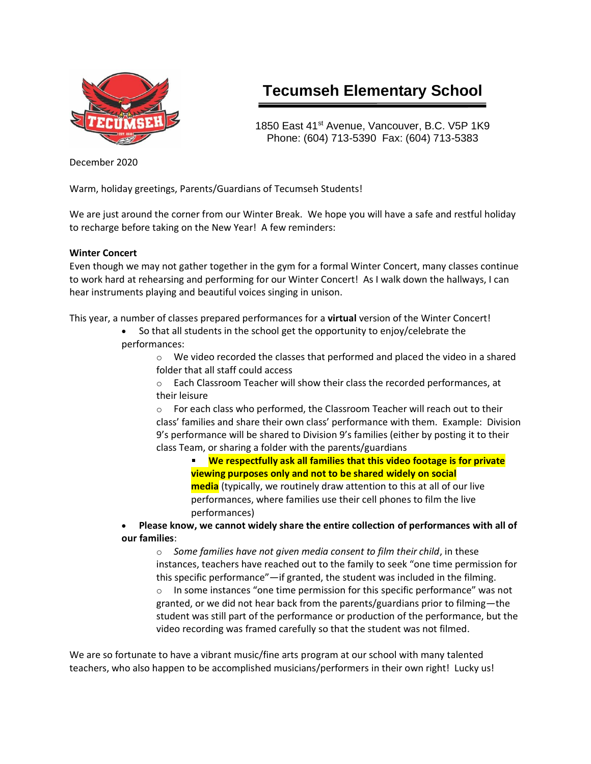

# **Tecumseh Elementary School**

1850 East 41<sup>st</sup> Avenue, Vancouver, B.C. V5P 1K9 Phone: (604) 713-5390 Fax: (604) 713-5383

December 2020

Warm, holiday greetings, Parents/Guardians of Tecumseh Students!

We are just around the corner from our Winter Break. We hope you will have a safe and restful holiday to recharge before taking on the New Year! A few reminders:

#### **Winter Concert**

Even though we may not gather together in the gym for a formal Winter Concert, many classes continue to work hard at rehearsing and performing for our Winter Concert! As I walk down the hallways, I can hear instruments playing and beautiful voices singing in unison.

This year, a number of classes prepared performances for a **virtual** version of the Winter Concert!

• So that all students in the school get the opportunity to enjoy/celebrate the performances:

 $\circ$  We video recorded the classes that performed and placed the video in a shared folder that all staff could access

 $\circ$  Each Classroom Teacher will show their class the recorded performances, at their leisure

o For each class who performed, the Classroom Teacher will reach out to their class' families and share their own class' performance with them. Example: Division 9's performance will be shared to Division 9's families (either by posting it to their class Team, or sharing a folder with the parents/guardians

**We respectfully ask all families that this video footage is for private viewing purposes only and not to be shared widely on social media** (typically, we routinely draw attention to this at all of our live performances, where families use their cell phones to film the live performances)

# • **Please know, we cannot widely share the entire collection of performances with all of our families**:

o *Some families have not given media consent to film their child*, in these instances, teachers have reached out to the family to seek "one time permission for this specific performance"—if granted, the student was included in the filming.  $\circ$  In some instances "one time permission for this specific performance" was not granted, or we did not hear back from the parents/guardians prior to filming—the student was still part of the performance or production of the performance, but the video recording was framed carefully so that the student was not filmed.

We are so fortunate to have a vibrant music/fine arts program at our school with many talented teachers, who also happen to be accomplished musicians/performers in their own right! Lucky us!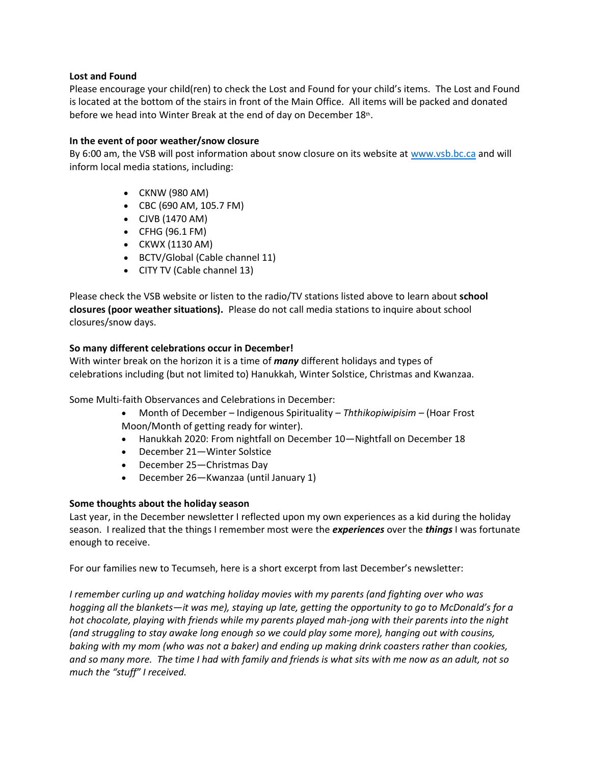#### **Lost and Found**

Please encourage your child(ren) to check the Lost and Found for your child's items. The Lost and Found is located at the bottom of the stairs in front of the Main Office. All items will be packed and donated before we head into Winter Break at the end of day on December  $18$ th.

# **In the event of poor weather/snow closure**

By 6:00 am, the VSB will post information about snow closure on its website at [www.vsb.bc.ca](http://www.vsb.bc.ca/) and will inform local media stations, including:

- CKNW (980 AM)
- CBC (690 AM, 105.7 FM)
- CJVB (1470 AM)
- CFHG (96.1 FM)
- CKWX (1130 AM)
- BCTV/Global (Cable channel 11)
- CITY TV (Cable channel 13)

Please check the VSB website or listen to the radio/TV stations listed above to learn about **school closures (poor weather situations).** Please do not call media stations to inquire about school closures/snow days.

# **So many different celebrations occur in December!**

With winter break on the horizon it is a time of *many* different holidays and types of celebrations including (but not limited to) Hanukkah, Winter Solstice, Christmas and Kwanzaa.

Some Multi-faith Observances and Celebrations in December:

- Month of December Indigenous Spirituality *Ththikopiwipisim –* (Hoar Frost Moon/Month of getting ready for winter).
- Hanukkah 2020: From nightfall on December 10—Nightfall on December 18
- December 21—Winter Solstice
- December 25—Christmas Day
- December 26—Kwanzaa (until January 1)

# **Some thoughts about the holiday season**

Last year, in the December newsletter I reflected upon my own experiences as a kid during the holiday season. I realized that the things I remember most were the *experiences* over the *things* I was fortunate enough to receive.

For our families new to Tecumseh, here is a short excerpt from last December's newsletter:

*I remember curling up and watching holiday movies with my parents (and fighting over who was hogging all the blankets—it was me), staying up late, getting the opportunity to go to McDonald's for a hot chocolate, playing with friends while my parents played mah-jong with their parents into the night (and struggling to stay awake long enough so we could play some more), hanging out with cousins, baking with my mom (who was not a baker) and ending up making drink coasters rather than cookies, and so many more. The time I had with family and friends is what sits with me now as an adult, not so much the "stuff" I received.*